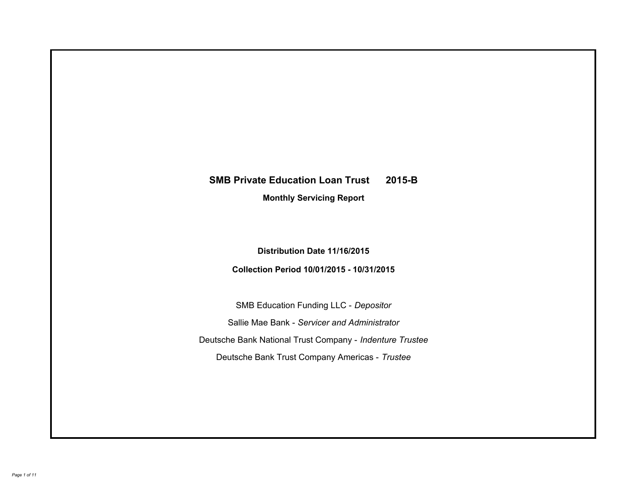# **SMB Private Education Loan Trust 2015-B Monthly Servicing Report**

## **Distribution Date 11/16/2015**

## **Collection Period 10/01/2015 - 10/31/2015**

SMB Education Funding LLC - *Depositor* Sallie Mae Bank - *Servicer and Administrator* Deutsche Bank National Trust Company - *Indenture Trustee* Deutsche Bank Trust Company Americas - *Trustee*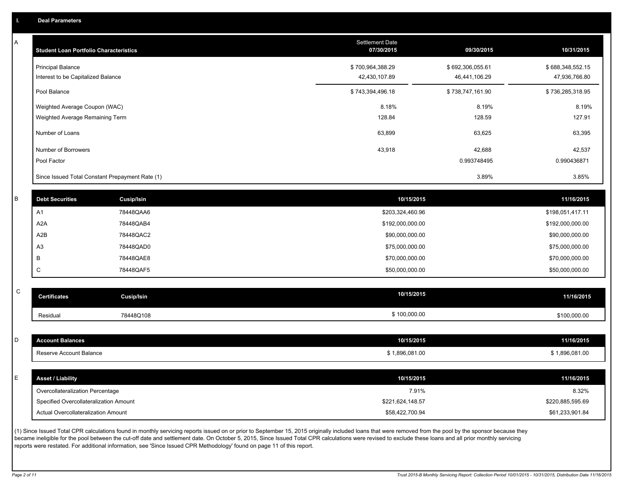| Α           | <b>Student Loan Portfolio Characteristics</b>   |                                                                                                                                                                                                           | Settlement Date<br>07/30/2015       | 09/30/2015       | 10/31/2015                          |
|-------------|-------------------------------------------------|-----------------------------------------------------------------------------------------------------------------------------------------------------------------------------------------------------------|-------------------------------------|------------------|-------------------------------------|
|             | <b>Principal Balance</b>                        |                                                                                                                                                                                                           | \$700,964,388.29                    | \$692,306,055.61 | \$688,348,552.15                    |
|             | Interest to be Capitalized Balance              |                                                                                                                                                                                                           | 42,430,107.89                       | 46,441,106.29    | 47,936,766.80                       |
|             | Pool Balance                                    |                                                                                                                                                                                                           | \$743,394,496.18                    | \$738,747,161.90 | \$736,285,318.95                    |
|             | Weighted Average Coupon (WAC)                   |                                                                                                                                                                                                           | 8.18%                               | 8.19%            | 8.19%                               |
|             | Weighted Average Remaining Term                 |                                                                                                                                                                                                           | 128.84                              | 128.59           | 127.91                              |
|             | Number of Loans                                 |                                                                                                                                                                                                           | 63,899                              | 63,625           | 63,395                              |
|             | Number of Borrowers                             |                                                                                                                                                                                                           | 43,918                              | 42,688           | 42,537                              |
|             | Pool Factor                                     |                                                                                                                                                                                                           |                                     | 0.993748495      | 0.990436871                         |
|             | Since Issued Total Constant Prepayment Rate (1) |                                                                                                                                                                                                           |                                     | 3.89%            | 3.85%                               |
| $\sf B$     |                                                 |                                                                                                                                                                                                           |                                     |                  |                                     |
|             | <b>Debt Securities</b>                          | Cusip/Isin                                                                                                                                                                                                | 10/15/2015                          |                  | 11/16/2015                          |
|             | A1                                              | 78448QAA6                                                                                                                                                                                                 | \$203,324,460.96                    |                  | \$198,051,417.11                    |
|             | A <sub>2</sub> A<br>A2B                         | 78448QAB4<br>78448QAC2                                                                                                                                                                                    | \$192,000,000.00<br>\$90,000,000.00 |                  | \$192,000,000.00<br>\$90,000,000.00 |
|             | A <sub>3</sub>                                  | 78448QAD0                                                                                                                                                                                                 | \$75,000,000.00                     |                  | \$75,000,000.00                     |
|             | В                                               | 78448QAE8                                                                                                                                                                                                 | \$70,000,000.00                     |                  | \$70,000,000.00                     |
|             | C                                               | 78448QAF5                                                                                                                                                                                                 | \$50,000,000.00                     |                  | \$50,000,000.00                     |
|             |                                                 |                                                                                                                                                                                                           |                                     |                  |                                     |
| ${\rm C}$   | <b>Certificates</b>                             | <b>Cusip/Isin</b>                                                                                                                                                                                         | 10/15/2015                          |                  | 11/16/2015                          |
|             | Residual                                        | 78448Q108                                                                                                                                                                                                 | \$100,000.00                        |                  | \$100,000.00                        |
|             |                                                 |                                                                                                                                                                                                           |                                     |                  |                                     |
| D           | <b>Account Balances</b>                         |                                                                                                                                                                                                           | 10/15/2015                          |                  | 11/16/2015                          |
|             | Reserve Account Balance                         |                                                                                                                                                                                                           | \$1,896,081.00                      |                  | \$1,896,081.00                      |
|             |                                                 |                                                                                                                                                                                                           |                                     |                  |                                     |
| $\mathsf E$ | <b>Asset / Liability</b>                        |                                                                                                                                                                                                           | 10/15/2015                          |                  | 11/16/2015                          |
|             | Overcollateralization Percentage                |                                                                                                                                                                                                           | 7.91%                               |                  | 8.32%                               |
|             | Specified Overcollateralization Amount          |                                                                                                                                                                                                           | \$221,624,148.57                    |                  | \$220,885,595.69                    |
|             | Actual Overcollateralization Amount             |                                                                                                                                                                                                           | \$58,422,700.94                     |                  | \$61,233,901.84                     |
|             |                                                 | (1) Since Issued Total CPR calculations found in monthly servicing reports issued on or prior to September 15, 2015 originally included loans that were removed from the pool by the sponsor because they |                                     |                  |                                     |

(1) Since Issued Total CPR calculations found in monthly servicing reports issued on or prior to September 15, 2015 originally included loans that were removed from the pool by the sponsor because they became ineligible for the pool between the cut-off date and settlement date. On October 5, 2015, Since Issued Total CPR calculations were revised to exclude these loans and all prior monthly servicing reports were restated. For additional information, see 'Since Issued CPR Methodology' found on page 11 of this report.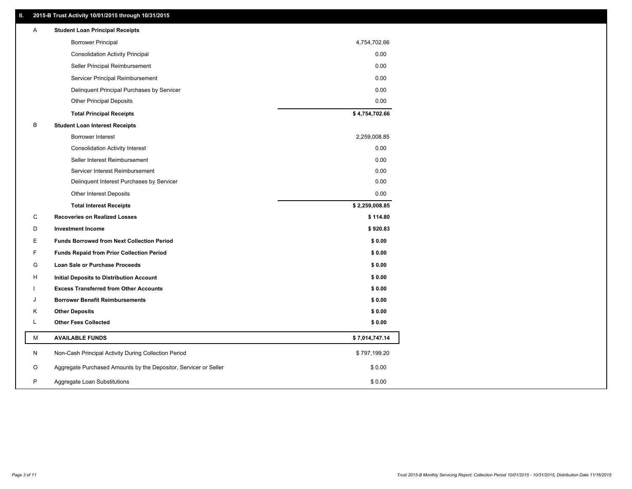## **II. 2015-B Trust Activity 10/01/2015 through 10/31/2015**

| Α | <b>Student Loan Principal Receipts</b>                           |                |
|---|------------------------------------------------------------------|----------------|
|   | <b>Borrower Principal</b>                                        | 4,754,702.66   |
|   | <b>Consolidation Activity Principal</b>                          | 0.00           |
|   | Seller Principal Reimbursement                                   | 0.00           |
|   | Servicer Principal Reimbursement                                 | 0.00           |
|   | Delinquent Principal Purchases by Servicer                       | 0.00           |
|   | <b>Other Principal Deposits</b>                                  | 0.00           |
|   | <b>Total Principal Receipts</b>                                  | \$4,754,702.66 |
| B | <b>Student Loan Interest Receipts</b>                            |                |
|   | <b>Borrower Interest</b>                                         | 2,259,008.85   |
|   | <b>Consolidation Activity Interest</b>                           | 0.00           |
|   | Seller Interest Reimbursement                                    | 0.00           |
|   | Servicer Interest Reimbursement                                  | 0.00           |
|   | Delinquent Interest Purchases by Servicer                        | 0.00           |
|   | Other Interest Deposits                                          | 0.00           |
|   | <b>Total Interest Receipts</b>                                   | \$2,259,008.85 |
| C | <b>Recoveries on Realized Losses</b>                             | \$114.80       |
| D | <b>Investment Income</b>                                         | \$920.83       |
| Е | <b>Funds Borrowed from Next Collection Period</b>                | \$0.00         |
| F | <b>Funds Repaid from Prior Collection Period</b>                 | \$0.00         |
| G | Loan Sale or Purchase Proceeds                                   | \$0.00         |
| H | Initial Deposits to Distribution Account                         | \$0.00         |
|   | <b>Excess Transferred from Other Accounts</b>                    | \$0.00         |
| J | <b>Borrower Benefit Reimbursements</b>                           | \$0.00         |
| Κ | <b>Other Deposits</b>                                            | \$0.00         |
| Г | <b>Other Fees Collected</b>                                      | \$0.00         |
| М | <b>AVAILABLE FUNDS</b>                                           | \$7,014,747.14 |
| N | Non-Cash Principal Activity During Collection Period             | \$797,199.20   |
| O | Aggregate Purchased Amounts by the Depositor, Servicer or Seller | \$0.00         |
| P | Aggregate Loan Substitutions                                     | \$0.00         |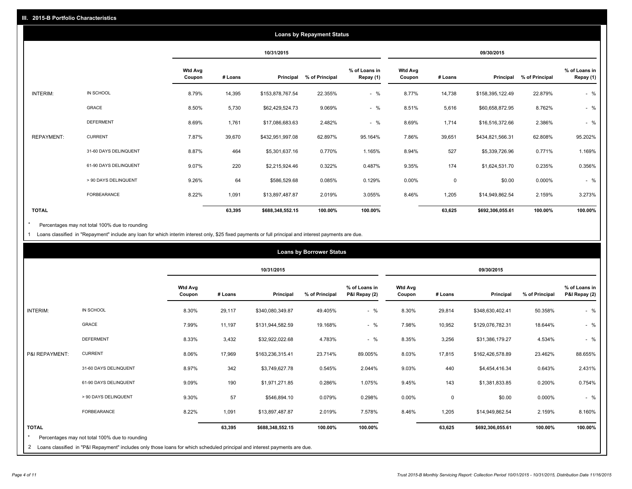|                   |                       |                          |         |                  | <b>Loans by Repayment Status</b> |                            |                          |             |                  |                |                            |
|-------------------|-----------------------|--------------------------|---------|------------------|----------------------------------|----------------------------|--------------------------|-------------|------------------|----------------|----------------------------|
|                   |                       |                          |         | 10/31/2015       |                                  |                            |                          |             | 09/30/2015       |                |                            |
|                   |                       | <b>Wtd Avg</b><br>Coupon | # Loans | Principal        | % of Principal                   | % of Loans in<br>Repay (1) | <b>Wtd Avg</b><br>Coupon | # Loans     | Principal        | % of Principal | % of Loans in<br>Repay (1) |
| INTERIM:          | IN SCHOOL             | 8.79%                    | 14,395  | \$153,878,767.54 | 22.355%                          | $-$ %                      | 8.77%                    | 14,738      | \$158,395,122.49 | 22.879%        | $-$ %                      |
|                   | GRACE                 | 8.50%                    | 5,730   | \$62,429,524.73  | 9.069%                           | $-$ %                      | 8.51%                    | 5,616       | \$60,658,872.95  | 8.762%         | $-$ %                      |
|                   | <b>DEFERMENT</b>      | 8.69%                    | 1,761   | \$17,086,683.63  | 2.482%                           | $-$ %                      | 8.69%                    | 1,714       | \$16,516,372.66  | 2.386%         | $-$ %                      |
| <b>REPAYMENT:</b> | <b>CURRENT</b>        | 7.87%                    | 39,670  | \$432,951,997.08 | 62.897%                          | 95.164%                    | 7.86%                    | 39,651      | \$434,821,566.31 | 62.808%        | 95.202%                    |
|                   | 31-60 DAYS DELINQUENT | 8.87%                    | 464     | \$5,301,637.16   | 0.770%                           | 1.165%                     | 8.94%                    | 527         | \$5,339,726.96   | 0.771%         | 1.169%                     |
|                   | 61-90 DAYS DELINQUENT | 9.07%                    | 220     | \$2,215,924.46   | 0.322%                           | 0.487%                     | 9.35%                    | 174         | \$1,624,531.70   | 0.235%         | 0.356%                     |
|                   | > 90 DAYS DELINQUENT  | 9.26%                    | 64      | \$586,529.68     | 0.085%                           | 0.129%                     | 0.00%                    | $\mathbf 0$ | \$0.00           | 0.000%         | $-$ %                      |
|                   | <b>FORBEARANCE</b>    | 8.22%                    | 1,091   | \$13,897,487.87  | 2.019%                           | 3.055%                     | 8.46%                    | 1,205       | \$14,949,862.54  | 2.159%         | 3.273%                     |
| <b>TOTAL</b>      |                       |                          | 63,395  | \$688,348,552.15 | 100.00%                          | 100.00%                    |                          | 63,625      | \$692,306,055.61 | 100.00%        | 100.00%                    |

Percentages may not total 100% due to rounding \*

1 Loans classified in "Repayment" include any loan for which interim interest only, \$25 fixed payments or full principal and interest payments are due.

|                                                                                 |                                                |                          |         |                  | <b>Loans by Borrower Status</b> |                                |                          |         |                  |                |                                |
|---------------------------------------------------------------------------------|------------------------------------------------|--------------------------|---------|------------------|---------------------------------|--------------------------------|--------------------------|---------|------------------|----------------|--------------------------------|
|                                                                                 |                                                |                          |         | 10/31/2015       |                                 |                                |                          |         | 09/30/2015       |                |                                |
|                                                                                 |                                                | <b>Wtd Avg</b><br>Coupon | # Loans | Principal        | % of Principal                  | % of Loans in<br>P&I Repay (2) | <b>Wtd Avg</b><br>Coupon | # Loans | Principal        | % of Principal | % of Loans in<br>P&I Repay (2) |
| INTERIM:                                                                        | IN SCHOOL                                      | 8.30%                    | 29,117  | \$340,080,349.87 | 49.405%                         | $-$ %                          | 8.30%                    | 29,814  | \$348,630,402.41 | 50.358%        | $-$ %                          |
|                                                                                 | <b>GRACE</b>                                   | 7.99%                    | 11,197  | \$131,944,582.59 | 19.168%                         | $-$ %                          | 7.98%                    | 10,952  | \$129,076,782.31 | 18.644%        | $-$ %                          |
|                                                                                 | <b>DEFERMENT</b>                               | 8.33%                    | 3,432   | \$32,922,022.68  | 4.783%                          | $-$ %                          | 8.35%                    | 3,256   | \$31,386,179.27  | 4.534%         | $-$ %                          |
| P&I REPAYMENT:                                                                  | <b>CURRENT</b>                                 | 8.06%                    | 17,969  | \$163,236,315.41 | 23.714%                         | 89.005%                        | 8.03%                    | 17,815  | \$162,426,578.89 | 23.462%        | 88.655%                        |
|                                                                                 | 31-60 DAYS DELINQUENT                          | 8.97%                    | 342     | \$3,749,627.78   | 0.545%                          | 2.044%                         | 9.03%                    | 440     | \$4,454,416.34   | 0.643%         | 2.431%                         |
|                                                                                 | 61-90 DAYS DELINQUENT                          | 9.09%                    | 190     | \$1,971,271.85   | 0.286%                          | 1.075%                         | 9.45%                    | 143     | \$1,381,833.85   | 0.200%         | 0.754%                         |
|                                                                                 | > 90 DAYS DELINQUENT                           | 9.30%                    | 57      | \$546,894.10     | 0.079%                          | 0.298%                         | 0.00%                    | 0       | \$0.00           | 0.000%         | $-$ %                          |
|                                                                                 | FORBEARANCE                                    | 8.22%                    | 1,091   | \$13,897,487.87  | 2.019%                          | 7.578%                         | 8.46%                    | 1,205   | \$14,949,862.54  | 2.159%         | 8.160%                         |
| <b>TOTAL</b>                                                                    |                                                |                          | 63,395  | \$688,348,552.15 | 100.00%                         | 100.00%                        |                          | 63,625  | \$692,306,055.61 | 100.00%        | 100.00%                        |
| the contract of the contract of the contract of the contract of the contract of | Percentages may not total 100% due to rounding |                          |         |                  |                                 |                                |                          |         |                  |                |                                |

2 Loans classified in "P&I Repayment" includes only those loans for which scheduled principal and interest payments are due.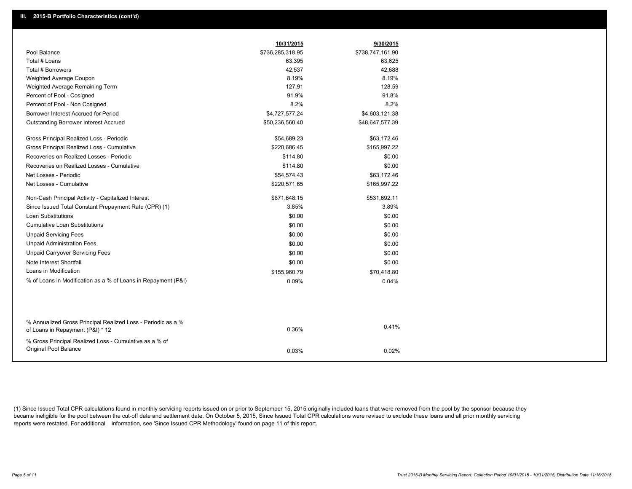|                                                                                                  | 10/31/2015       | 9/30/2015        |
|--------------------------------------------------------------------------------------------------|------------------|------------------|
| Pool Balance                                                                                     | \$736,285,318.95 | \$738,747,161.90 |
| Total # Loans                                                                                    | 63,395           | 63,625           |
| Total # Borrowers                                                                                | 42,537           | 42,688           |
| Weighted Average Coupon                                                                          | 8.19%            | 8.19%            |
| Weighted Average Remaining Term                                                                  | 127.91           | 128.59           |
| Percent of Pool - Cosigned                                                                       | 91.9%            | 91.8%            |
| Percent of Pool - Non Cosigned                                                                   | 8.2%             | 8.2%             |
| Borrower Interest Accrued for Period                                                             | \$4,727,577.24   | \$4,603,121.38   |
| <b>Outstanding Borrower Interest Accrued</b>                                                     | \$50,236,560.40  | \$48,647,577.39  |
| Gross Principal Realized Loss - Periodic                                                         | \$54,689.23      | \$63,172.46      |
| Gross Principal Realized Loss - Cumulative                                                       | \$220.686.45     | \$165,997.22     |
| Recoveries on Realized Losses - Periodic                                                         | \$114.80         | \$0.00           |
| Recoveries on Realized Losses - Cumulative                                                       | \$114.80         | \$0.00           |
| Net Losses - Periodic                                                                            | \$54,574.43      | \$63,172.46      |
| Net Losses - Cumulative                                                                          | \$220,571.65     | \$165,997.22     |
| Non-Cash Principal Activity - Capitalized Interest                                               | \$871,648.15     | \$531,692.11     |
| Since Issued Total Constant Prepayment Rate (CPR) (1)                                            | 3.85%            | 3.89%            |
| <b>Loan Substitutions</b>                                                                        | \$0.00           | \$0.00           |
| <b>Cumulative Loan Substitutions</b>                                                             | \$0.00           | \$0.00           |
| <b>Unpaid Servicing Fees</b>                                                                     | \$0.00           | \$0.00           |
| <b>Unpaid Administration Fees</b>                                                                | \$0.00           | \$0.00           |
| <b>Unpaid Carryover Servicing Fees</b>                                                           | \$0.00           | \$0.00           |
| Note Interest Shortfall                                                                          | \$0.00           | \$0.00           |
| Loans in Modification                                                                            | \$155,960.79     | \$70,418.80      |
| % of Loans in Modification as a % of Loans in Repayment (P&I)                                    | 0.09%            | 0.04%            |
|                                                                                                  |                  |                  |
|                                                                                                  |                  |                  |
| % Annualized Gross Principal Realized Loss - Periodic as a %<br>of Loans in Repayment (P&I) * 12 | 0.36%            | 0.41%            |
| % Gross Principal Realized Loss - Cumulative as a % of                                           |                  |                  |
| Original Pool Balance                                                                            | 0.03%            | 0.02%            |

(1) Since Issued Total CPR calculations found in monthly servicing reports issued on or prior to September 15, 2015 originally included loans that were removed from the pool by the sponsor because they became ineligible for the pool between the cut-off date and settlement date. On October 5, 2015, Since Issued Total CPR calculations were revised to exclude these loans and all prior monthly servicing reports were restated. For additional information, see 'Since Issued CPR Methodology' found on page 11 of this report.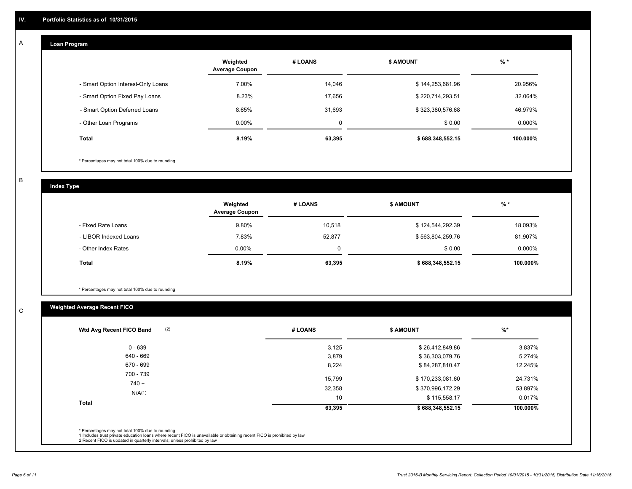#### **Loan Program**  A

|                                    | Weighted<br><b>Average Coupon</b> | # LOANS | <b>S AMOUNT</b>  | $%$ *    |
|------------------------------------|-----------------------------------|---------|------------------|----------|
| - Smart Option Interest-Only Loans | 7.00%                             | 14,046  | \$144,253,681.96 | 20.956%  |
| - Smart Option Fixed Pay Loans     | 8.23%                             | 17.656  | \$220,714,293.51 | 32.064%  |
| - Smart Option Deferred Loans      | 8.65%                             | 31,693  | \$323,380,576.68 | 46.979%  |
| - Other Loan Programs              | $0.00\%$                          | 0       | \$0.00           | 0.000%   |
| <b>Total</b>                       | 8.19%                             | 63,395  | \$688,348,552.15 | 100.000% |

\* Percentages may not total 100% due to rounding

B

C

**Index Type**

|                       | Weighted<br><b>Average Coupon</b> | # LOANS | \$ AMOUNT        | % *       |
|-----------------------|-----------------------------------|---------|------------------|-----------|
| - Fixed Rate Loans    | 9.80%                             | 10.518  | \$124,544,292.39 | 18.093%   |
| - LIBOR Indexed Loans | 7.83%                             | 52,877  | \$563,804,259.76 | 81.907%   |
| - Other Index Rates   | $0.00\%$                          | 0       | \$0.00           | $0.000\%$ |
| <b>Total</b>          | 8.19%                             | 63,395  | \$688,348,552.15 | 100.000%  |

\* Percentages may not total 100% due to rounding

## **Weighted Average Recent FICO**

| (2)<br>Wtd Avg Recent FICO Band | # LOANS          | <b>S AMOUNT</b>                      | $%$ *              |
|---------------------------------|------------------|--------------------------------------|--------------------|
| $0 - 639$                       | 3,125            | \$26,412,849.86                      | 3.837%             |
| 640 - 669                       | 3,879            | \$36,303,079.76                      | 5.274%             |
| 670 - 699                       | 8,224            | \$84,287,810.47                      | 12.245%            |
| 700 - 739<br>$740 +$<br>N/A(1)  | 15,799<br>32,358 | \$170,233,081.60<br>\$370,996,172.29 | 24.731%<br>53.897% |
| <b>Total</b>                    | 10<br>63,395     | \$115,558.17<br>\$688,348,552.15     | 0.017%<br>100.000% |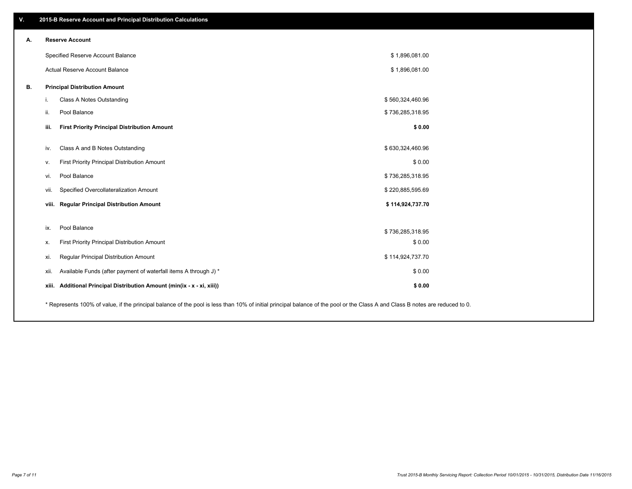| V. | 2015-B Reserve Account and Principal Distribution Calculations                                                                                                                |                  |  |
|----|-------------------------------------------------------------------------------------------------------------------------------------------------------------------------------|------------------|--|
| А. | <b>Reserve Account</b>                                                                                                                                                        |                  |  |
|    | Specified Reserve Account Balance                                                                                                                                             | \$1,896,081.00   |  |
|    | Actual Reserve Account Balance                                                                                                                                                | \$1,896,081.00   |  |
| В. | <b>Principal Distribution Amount</b>                                                                                                                                          |                  |  |
|    | Class A Notes Outstanding<br>i.                                                                                                                                               | \$560,324,460.96 |  |
|    | Pool Balance<br>ii.                                                                                                                                                           | \$736,285,318.95 |  |
|    | <b>First Priority Principal Distribution Amount</b><br>iii.                                                                                                                   | \$0.00           |  |
|    | Class A and B Notes Outstanding<br>iv.                                                                                                                                        | \$630,324,460.96 |  |
|    | First Priority Principal Distribution Amount<br>v.                                                                                                                            | \$0.00           |  |
|    | Pool Balance<br>vi.                                                                                                                                                           | \$736,285,318.95 |  |
|    | Specified Overcollateralization Amount<br>vii.                                                                                                                                | \$220,885,595.69 |  |
|    | viii. Regular Principal Distribution Amount                                                                                                                                   | \$114,924,737.70 |  |
|    |                                                                                                                                                                               |                  |  |
|    | Pool Balance<br>ix.                                                                                                                                                           | \$736,285,318.95 |  |
|    | First Priority Principal Distribution Amount<br>х.                                                                                                                            | \$0.00           |  |
|    | Regular Principal Distribution Amount<br>xi.                                                                                                                                  | \$114,924,737.70 |  |
|    | Available Funds (after payment of waterfall items A through J) *<br>xii.                                                                                                      | \$0.00           |  |
|    | Additional Principal Distribution Amount (min(ix - x - xi, xiii))<br>xiii.                                                                                                    | \$0.00           |  |
|    | * Represents 100% of value, if the principal balance of the pool is less than 10% of initial principal balance of the pool or the Class A and Class B notes are reduced to 0. |                  |  |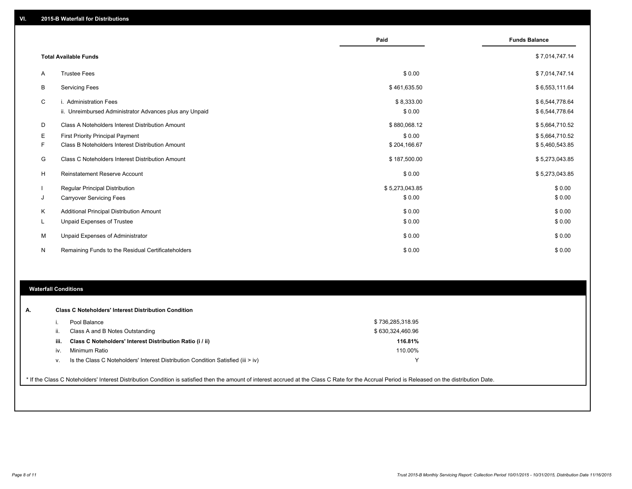|          |                                                         | Paid           | <b>Funds Balance</b> |
|----------|---------------------------------------------------------|----------------|----------------------|
|          |                                                         |                |                      |
|          | <b>Total Available Funds</b>                            |                | \$7,014,747.14       |
| A        | <b>Trustee Fees</b>                                     | \$0.00         | \$7,014,747.14       |
| B        | <b>Servicing Fees</b>                                   | \$461,635.50   | \$6,553,111.64       |
| C        | i. Administration Fees                                  | \$8,333.00     | \$6,544,778.64       |
|          | ii. Unreimbursed Administrator Advances plus any Unpaid | \$0.00         | \$6,544,778.64       |
| D        | Class A Noteholders Interest Distribution Amount        | \$880,068.12   | \$5,664,710.52       |
| Е        | <b>First Priority Principal Payment</b>                 | \$0.00         | \$5,664,710.52       |
| F        | Class B Noteholders Interest Distribution Amount        | \$204,166.67   | \$5,460,543.85       |
| G        | Class C Noteholders Interest Distribution Amount        | \$187,500.00   | \$5,273,043.85       |
| H        | <b>Reinstatement Reserve Account</b>                    | \$0.00         | \$5,273,043.85       |
|          | <b>Regular Principal Distribution</b>                   | \$5,273,043.85 | \$0.00               |
| J        | <b>Carryover Servicing Fees</b>                         | \$0.00         | \$0.00               |
| Κ        | Additional Principal Distribution Amount                | \$0.00         | \$0.00               |
| <b>L</b> | <b>Unpaid Expenses of Trustee</b>                       | \$0.00         | \$0.00               |
| М        | Unpaid Expenses of Administrator                        | \$0.00         | \$0.00               |
| N        | Remaining Funds to the Residual Certificateholders      | \$0.00         | \$0.00               |

### **Waterfall Conditions**

|      | Pool Balance                                                                     | \$736,285,318.95 |  |
|------|----------------------------------------------------------------------------------|------------------|--|
| Ш.   | Class A and B Notes Outstanding                                                  | \$630,324,460.96 |  |
| iii. | Class C Noteholders' Interest Distribution Ratio (i / ii)                        | 116.81%          |  |
| iv.  | Minimum Ratio                                                                    | 110.00%          |  |
| v.   | Is the Class C Noteholders' Interest Distribution Condition Satisfied (iii > iv) |                  |  |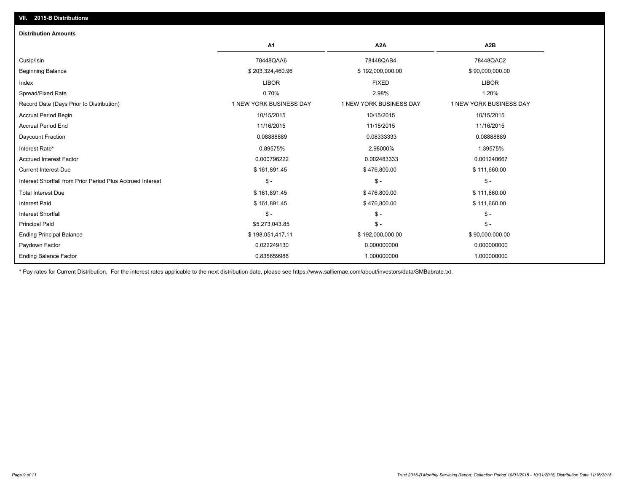| <b>Distribution Amounts</b>                                |                         |                         |                         |
|------------------------------------------------------------|-------------------------|-------------------------|-------------------------|
|                                                            | A <sub>1</sub>          | A <sub>2</sub> A        | A <sub>2</sub> B        |
| Cusip/Isin                                                 | 78448QAA6               | 78448QAB4               | 78448QAC2               |
| <b>Beginning Balance</b>                                   | \$203,324,460.96        | \$192,000,000.00        | \$90,000,000.00         |
| Index                                                      | <b>LIBOR</b>            | <b>FIXED</b>            | <b>LIBOR</b>            |
| Spread/Fixed Rate                                          | 0.70%                   | 2.98%                   | 1.20%                   |
| Record Date (Days Prior to Distribution)                   | 1 NEW YORK BUSINESS DAY | 1 NEW YORK BUSINESS DAY | 1 NEW YORK BUSINESS DAY |
| <b>Accrual Period Begin</b>                                | 10/15/2015              | 10/15/2015              | 10/15/2015              |
| <b>Accrual Period End</b>                                  | 11/16/2015              | 11/15/2015              | 11/16/2015              |
| Daycount Fraction                                          | 0.0888889               | 0.08333333              | 0.08888889              |
| Interest Rate*                                             | 0.89575%                | 2.98000%                | 1.39575%                |
| <b>Accrued Interest Factor</b>                             | 0.000796222             | 0.002483333             | 0.001240667             |
| <b>Current Interest Due</b>                                | \$161,891.45            | \$476,800.00            | \$111,660.00            |
| Interest Shortfall from Prior Period Plus Accrued Interest | $$ -$                   | $$ -$                   | $\frac{2}{3}$ -         |
| <b>Total Interest Due</b>                                  | \$161,891.45            | \$476,800.00            | \$111,660.00            |
| <b>Interest Paid</b>                                       | \$161,891.45            | \$476,800.00            | \$111,660.00            |
| <b>Interest Shortfall</b>                                  | $S -$                   | $S -$                   | $\mathsf{\$}$ -         |
| <b>Principal Paid</b>                                      | \$5,273,043.85          | $$ -$                   | $S -$                   |
| <b>Ending Principal Balance</b>                            | \$198,051,417.11        | \$192,000,000.00        | \$90,000,000.00         |
| Paydown Factor                                             | 0.022249130             | 0.000000000             | 0.000000000             |
| <b>Ending Balance Factor</b>                               | 0.835659988             | 1.000000000             | 1.000000000             |

\* Pay rates for Current Distribution. For the interest rates applicable to the next distribution date, please see https://www.salliemae.com/about/investors/data/SMBabrate.txt.

**VII. 2015-B Distributions**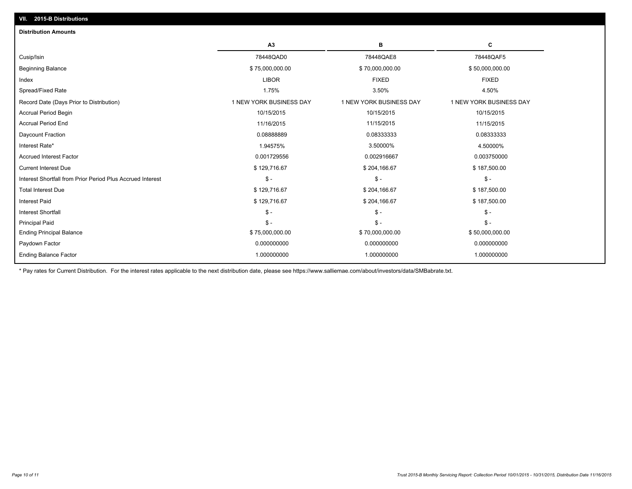| C<br>A3<br>в<br>78448QAD0<br>78448QAE8<br>78448QAF5<br>Cusip/Isin<br>Beginning Balance<br>\$75,000,000.00<br>\$70,000,000.00<br>\$50,000,000.00<br><b>LIBOR</b><br><b>FIXED</b><br><b>FIXED</b><br>Index |  |
|----------------------------------------------------------------------------------------------------------------------------------------------------------------------------------------------------------|--|
|                                                                                                                                                                                                          |  |
|                                                                                                                                                                                                          |  |
|                                                                                                                                                                                                          |  |
|                                                                                                                                                                                                          |  |
| 1.75%<br>Spread/Fixed Rate<br>3.50%<br>4.50%                                                                                                                                                             |  |
| 1 NEW YORK BUSINESS DAY<br>1 NEW YORK BUSINESS DAY<br>1 NEW YORK BUSINESS DAY<br>Record Date (Days Prior to Distribution)                                                                                |  |
| 10/15/2015<br>10/15/2015<br><b>Accrual Period Begin</b><br>10/15/2015                                                                                                                                    |  |
| <b>Accrual Period End</b><br>11/15/2015<br>11/16/2015<br>11/15/2015                                                                                                                                      |  |
| Daycount Fraction<br>0.0888889<br>0.08333333<br>0.08333333                                                                                                                                               |  |
| 1.94575%<br>Interest Rate*<br>3.50000%<br>4.50000%                                                                                                                                                       |  |
| <b>Accrued Interest Factor</b><br>0.001729556<br>0.002916667<br>0.003750000                                                                                                                              |  |
| \$129,716.67<br>\$204,166.67<br>\$187,500.00<br><b>Current Interest Due</b>                                                                                                                              |  |
| $$ -$<br>\$ -<br>Interest Shortfall from Prior Period Plus Accrued Interest<br>$S -$                                                                                                                     |  |
| \$129,716.67<br>\$204,166.67<br>\$187,500.00<br><b>Total Interest Due</b>                                                                                                                                |  |
| \$129,716.67<br><b>Interest Paid</b><br>\$204,166.67<br>\$187,500.00                                                                                                                                     |  |
| $\mathsf{\$}$ -<br><b>Interest Shortfall</b><br>$\mathsf{s}$ -<br>$\mathsf{\$}$ -                                                                                                                        |  |
| <b>Principal Paid</b><br>$\mathsf{\$}$ -<br>$\mathsf{\$}$ -<br>$$ -$                                                                                                                                     |  |
| \$75,000,000.00<br>\$70,000,000.00<br>\$50,000,000.00<br><b>Ending Principal Balance</b>                                                                                                                 |  |
| 0.000000000<br>0.000000000<br>0.000000000<br>Paydown Factor                                                                                                                                              |  |
| <b>Ending Balance Factor</b><br>1.000000000<br>1.000000000<br>1.000000000                                                                                                                                |  |

\* Pay rates for Current Distribution. For the interest rates applicable to the next distribution date, please see https://www.salliemae.com/about/investors/data/SMBabrate.txt.

**VII. 2015-B Distributions**